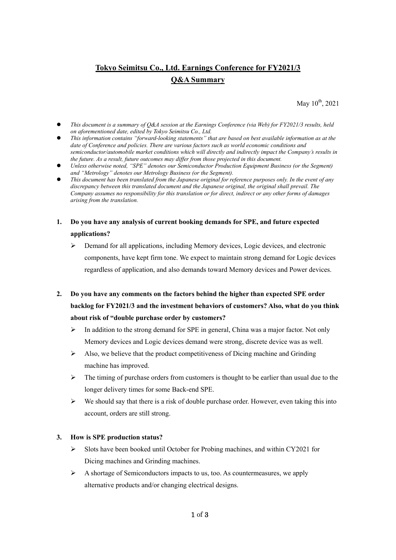# **Tokyo Seimitsu Co., Ltd. Earnings Conference for FY2021/3 Q&A Summary**

May  $10^{th}$ , 2021

- *This document is a summary of Q&A session at the Earnings Conference (via Web) for FY2021/3 results, held on aforementioned date, edited by Tokyo Seimitsu Co., Ltd.*
- *This information contains "forward-looking statements" that are based on best available information as at the date of Conference and policies. There are various factors such as world economic conditions and semiconductor/automobile market conditions which will directly and indirectly impact the Company's results in the future. As a result, future outcomes may differ from those projected in this document.*
- *Unless otherwise noted, "SPE" denotes our Semiconductor Production Equipment Business (or the Segment) and "Metrology" denotes our Metrology Business (or the Segment).*
- *This document has been translated from the Japanese original for reference purposes only. In the event of any discrepancy between this translated document and the Japanese original, the original shall prevail. The Company assumes no responsibility for this translation or for direct, indirect or any other forms of damages arising from the translation.*
- **1. Do you have any analysis of current booking demands for SPE, and future expected applications?** 
	- $\triangleright$  Demand for all applications, including Memory devices, Logic devices, and electronic components, have kept firm tone. We expect to maintain strong demand for Logic devices regardless of application, and also demands toward Memory devices and Power devices.
- **2. Do you have any comments on the factors behind the higher than expected SPE order backlog for FY2021/3 and the investment behaviors of customers? Also, what do you think about risk of "double purchase order by customers?** 
	- $\triangleright$  In addition to the strong demand for SPE in general, China was a major factor. Not only Memory devices and Logic devices demand were strong, discrete device was as well.
	- $\triangleright$  Also, we believe that the product competitiveness of Dicing machine and Grinding machine has improved.
	- $\triangleright$  The timing of purchase orders from customers is thought to be earlier than usual due to the longer delivery times for some Back-end SPE.
	- $\triangleright$  We should say that there is a risk of double purchase order. However, even taking this into account, orders are still strong.

### **3. How is SPE production status?**

- $\triangleright$  Slots have been booked until October for Probing machines, and within CY2021 for Dicing machines and Grinding machines.
- $\triangleright$  A shortage of Semiconductors impacts to us, too. As countermeasures, we apply alternative products and/or changing electrical designs.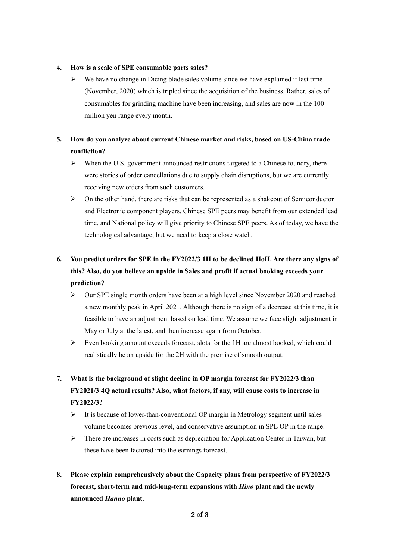#### **4. How is a scale of SPE consumable parts sales?**

 $\triangleright$  We have no change in Dicing blade sales volume since we have explained it last time (November, 2020) which is tripled since the acquisition of the business. Rather, sales of consumables for grinding machine have been increasing, and sales are now in the 100 million yen range every month.

### **5. How do you analyze about current Chinese market and risks, based on US-China trade confliction?**

- $\triangleright$  When the U.S. government announced restrictions targeted to a Chinese foundry, there were stories of order cancellations due to supply chain disruptions, but we are currently receiving new orders from such customers.
- $\triangleright$  On the other hand, there are risks that can be represented as a shakeout of Semiconductor and Electronic component players, Chinese SPE peers may benefit from our extended lead time, and National policy will give priority to Chinese SPE peers. As of today, we have the technological advantage, but we need to keep a close watch.

## **6. You predict orders for SPE in the FY2022/3 1H to be declined HoH. Are there any signs of this? Also, do you believe an upside in Sales and profit if actual booking exceeds your prediction?**

- Our SPE single month orders have been at a high level since November 2020 and reached a new monthly peak in April 2021. Although there is no sign of a decrease at this time, it is feasible to have an adjustment based on lead time. We assume we face slight adjustment in May or July at the latest, and then increase again from October.
- $\triangleright$  Even booking amount exceeds forecast, slots for the 1H are almost booked, which could realistically be an upside for the 2H with the premise of smooth output.

## **7. What is the background of slight decline in OP margin forecast for FY2022/3 than FY2021/3 4Q actual results? Also, what factors, if any, will cause costs to increase in FY2022/3?**

- $\triangleright$  It is because of lower-than-conventional OP margin in Metrology segment until sales volume becomes previous level, and conservative assumption in SPE OP in the range.
- $\triangleright$  There are increases in costs such as depreciation for Application Center in Taiwan, but these have been factored into the earnings forecast.
- **8. Please explain comprehensively about the Capacity plans from perspective of FY2022/3 forecast, short-term and mid-long-term expansions with** *Hino* **plant and the newly announced** *Hanno* **plant.**